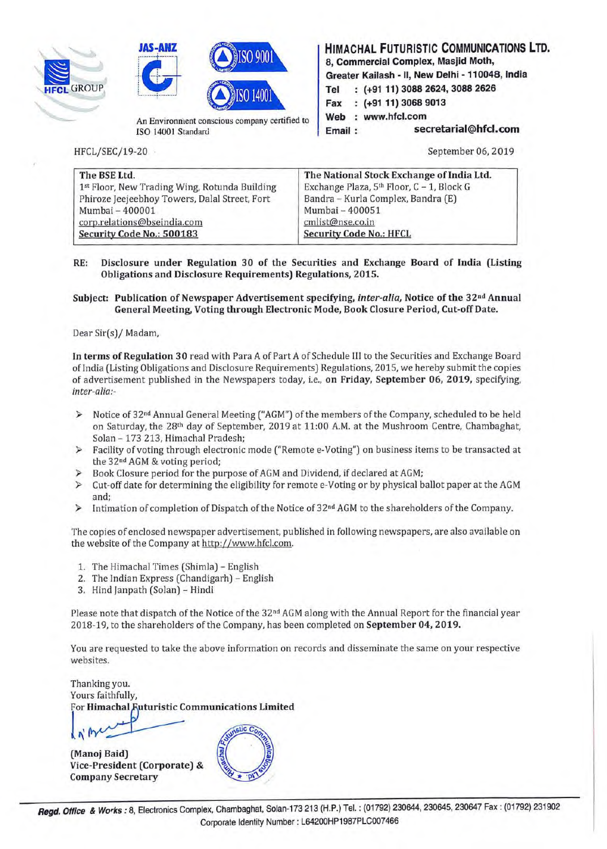





ISO 14001 Standard

HFCL/SEC/19-20

**HIMACHAL FUTURISTIC COMMUNICATIONS LTD. 8, Commercial Complex, Masjid Moth, Greater Kailash** - II, **New Delhi** - **110048, India Tel (+91 11) 3088 2624, 3088 2626 Fax (+91 11) 3068 9013**  Web : www.hfcl.com **Email** : **secretarial@hfcl.com** 

September 06, 2019

| The BSE Ltd.                                  | The National Stock Exchange of India Ltd. |
|-----------------------------------------------|-------------------------------------------|
| 1st Floor, New Trading Wing, Rotunda Building | Exchange Plaza, 5th Floor, C - 1, Block G |
| Phiroze Jeejeebhoy Towers, Dalal Street, Fort | Bandra - Kurla Complex, Bandra (E)        |
| Mumbai - 400001                               | Mumbai - 400051                           |
| corp.relations@bseindia.com                   | cmlist@nse.co.in                          |
| Security Code No.: 500183                     | <b>Security Code No.: HFCL</b>            |

**RE: Disclosure under Regulation 30 of the Securities and Exchange Board of India (Listing Obligations and Disclosure Requirements) Regulations, 2015.** 

#### **Subject: Publication of Newspaper Advertisement specifying,** *inter-alia,* **Notice of the 32 nd Annual General Meeting, Voting through Electronic Mode, Book Closure Period, Cut-off Date.**

Dear Sir(s)/ Madam,

**In terms of Regulation 30** read with Para A of Part A of Schedule III to the Securities and Exchange Board of India (Listing Obligations and Disclosure Requirements) Regulations, 2015, we hereby submit the copies of advertisement published in the Newspapers today, i.e., **on Friday, September 06, 2019,** specifying, *inter-alia:-*

- ► Notice of 32 nd Annual General Meeting ("AGM") of the members of the Company, scheduled to be held on Saturday, the 28<sup>th</sup> day of September, 2019 at 11:00 A.M. at the Mushroom Centre, Chambaghat, Solan - 173 213, Himachal Pradesh;
- ► Facility of voting through electronic mode ("Remote e-Voting") on business items to be transacted at the 32<sup>nd</sup> AGM & voting period;
- ► Book Closure period for the purpose of AGM and Dividend, if declared at AGM;
- ► Cut-off date for determining the eligibility for remote e-Voting or by physical ballot paper at the AGM and;
- ► Intimation of completion of Dispatch of the Notice of 32nd AGM to the shareholders of the Company.

The copies of enclosed newspaper advertisement, published in following newspapers, are also available on the website of the Company at http://www.hfcl.com.

- 1. The Himachal Times (Shimla) English
- 2. The Indian Express (Chandigarh) English
- 3. Hind Janpath (Solan) Hindi

Please note that dispatch of the Notice of the 32<sup>nd</sup> AGM along with the Annual Report for the financial year 2018-19, to the shareholders of the Company, has been completed on **September 04, 2019.** 

You are requested to take the above information on records and disseminate the same on your respective websites.

Thanking you. Yours faithfully,<br>For **Himachal Futuristic Communications Limited**  $\sqrt{\eta}$ 

(Manoj Baid) Vice-President (Corporate) & Company Secretary

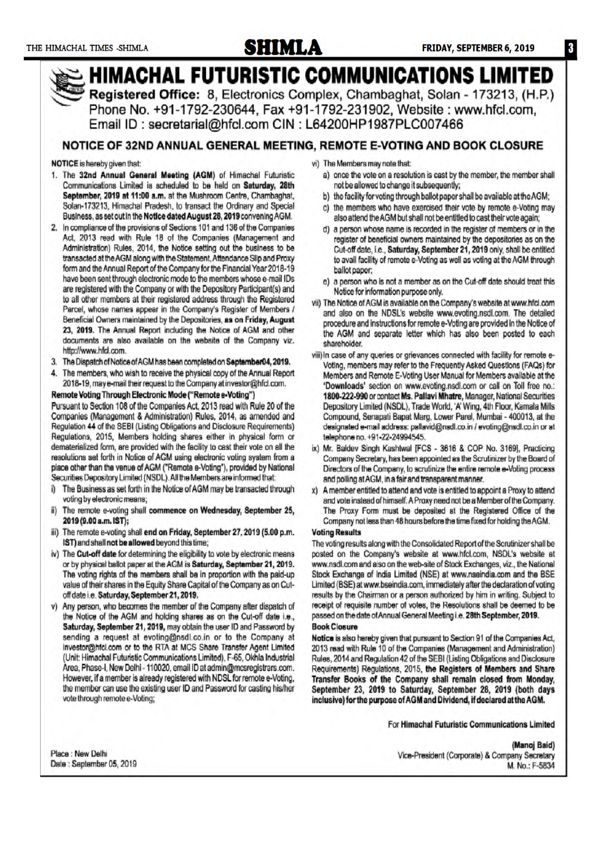http://www.hfd.com.

voting by electronic means;

IST) and shall not be allowed beyond this time;

off date i.e. Saturday, September 21, 2019.

2019 (9.00 a.m. IST);

ii)

iii)

Business, as set out in the Notice dated August 28, 2019 convening AGM.

Act, 2013 read with Rule 18 of the Companies (Management and

Administration) Rules, 2014, the Notice setting out the business to be

transacted at the AGM along with the Statement, Attendance Slip and Proxy

form and the Annual Report of the Company for the Financial Year 2018-19

have been sent through electronic mode to the members whose e-mail IDs

are registered with the Company or with the Depository Participant(s) and

to all other members at their registered address through the Registered

Parcel, whose names appear in the Company's Register of Members /

Beneficial Owners maintained by the Depositories, as on Friday, August

23, 2019. The Annual Report including the Notice of AGM and other

documents are also available on the website of the Company viz.

3. The Dispatch of Notice of AGM has been completed on September04, 2019.

4. The members, who wish to receive the physical copy of the Annual Report

2018-19, may e-mail their request to the Company at investor@hfcl.com.

Pursuant to Section 108 of the Companies Act, 2013 read with Rule 20 of the

Companies (Management & Administration) Rules, 2014, as amended and

Regulation 44 of the SEBI (Listing Obligations and Disclosure Requirements)

Regulations, 2015, Members holding shares either in physical form or

dematerialized form, are provided with the facility to cast their vote on all the

resolutions set forth in Notice of AGM using electronic voting system from a

place other than the venue of AGM ("Remote e-Voting"), provided by National

i) The Business as set forth in the Notice of AGM may be transacted through

The remote e-voting shall commence on Wednesday, September 25,

The remote e-voting shall end on Friday, September 27, 2019 (5.00 p.m.

or by physical ballot paper at the AGM is Saturday, September 21, 2019.

The voting rights of the members shall be in proportion with the paid-up

value of their shares in the Equity Share Capital of the Company as on Cut-

the Notice of the AGM and holding shares as on the Cut-off date i.e., Saturday, September 21, 2019, may obtain the user ID and Password by

sending a request at evoting@nsdl.co.in or to the Company at

investor@hfcl.com or to the RTA at MCS Share Transfer Agent Limited

(Unit: Himachal Futuristic Communications Limited), F-65, Okhla Industrial

Area, Phase-I, New Delhi - 110020, email ID at admin@mcsregistrars.com.

However, if a member is already registered with NDSL for remote e-Voting,

the member can use the existing user ID and Password for casting his/her

v) Any person, who becomes the member of the Company after dispatch of

iv) The Cut-off date for determining the eligibility to vote by electronic means

Securities Depository Limited (NSDL). All the Members are informed that:

Remote Voting Through Electronic Mode ("Remote e-Voting")

2. In compliance of the provisions of Sections 101 and 136 of the Companies



- c) the members who have exercised their vote by remote e-Voting may also attend the AGM but shall not be entitled to cast their vote again;
	- a person whose name is recorded in the register of members or in the register of beneficial owners maintained by the depositories as on the Cut-off date, i.e., Saturday, September 21, 2019 only, shall be entitled to avail facility of remote e-Voting as well as voting at the AGM through ballot paper;
	- e) a person who is not a member as on the Cut-off date should treat this Notice for information purpose only.
- vii) The Notice of AGM is available on the Company's website at www.hfcl.com and also on the NDSL's website www.evoting.nsdl.com. The detailed procedure and instructions for remote e-Voting are provided in the Notice of the AGM and separate letter which has also been posted to each shareholder
- viii) In case of any queries or grievances connected with facility for remote e-Voting, members may refer to the Frequently Asked Questions (FAQs) for Members and Remote E-Voting User Manual for Members available at the 'Downloads' section on www.evoting.nsdl.com or call on Toll free no.: 1800-222-990 or contact Ms. Pallavi Mhatre, Manager, National Securities Depository Limited (NSDL), Trade World, 'A' Wing, 4th Floor, Kamala Mills Compound, Senapati Bapat Marg, Lower Parel, Mumbai - 400013, at the designated e-mail address: pallavid@nsdl.co.in / evoting@nsdl.co.in or at telephone no. +91-22-24994545.
- ix) Mr. Baldev Singh Kashtwal [FCS 3616 & COP No. 3169], Practicing Company Secretary, has been appointed as the Scrutinizer by the Board of Directors of the Company, to scrutinize the entire remote e-Voting process and polling at AGM, in a fair and transparent manner.
- x) A member entitled to attend and vote is entitled to appoint a Proxy to attend and vote instead of himself. A Proxy need not be a Member of the Company. The Proxy Form must be deposited at the Registered Office of the Company not less than 48 hours before the time fixed for holding the AGM.

#### **Voting Results**

The voting results along with the Consolidated Report of the Scrutinizer shall be posted on the Company's website at www.hfcl.com, NSDL's website at www.nsdl.com and also on the web-site of Stock Exchanges, viz., the National Stock Exchange of India Limited (NSE) at www.nseindia.com and the BSE Limited (BSE) at www.bseindia.com, immediately after the declaration of voting results by the Chairman or a person authorized by him in writing. Subject to receipt of requisite number of votes, the Resolutions shall be deemed to be passed on the date of Annual General Meeting i.e. 28th September, 2019.

#### **Book Closure**

Notice is also hereby given that pursuant to Section 91 of the Companies Act, 2013 read with Rule 10 of the Companies (Management and Administration) Rules, 2014 and Regulation 42 of the SEBI (Listing Obligations and Disclosure Requirements) Regulations, 2015, the Registers of Members and Share Transfer Books of the Company shall remain closed from Monday, September 23, 2019 to Saturday, September 28, 2019 (both days inclusive) for the purpose of AGM and Dividend, if declared at the AGM.

For Himachal Futuristic Communications Limited

Place : New Delhi Date: September 05, 2019

vote through remote e-Voting;

#### (Manoj Baid) Vice-President (Corporate) & Company Secretary M. No.: F-5834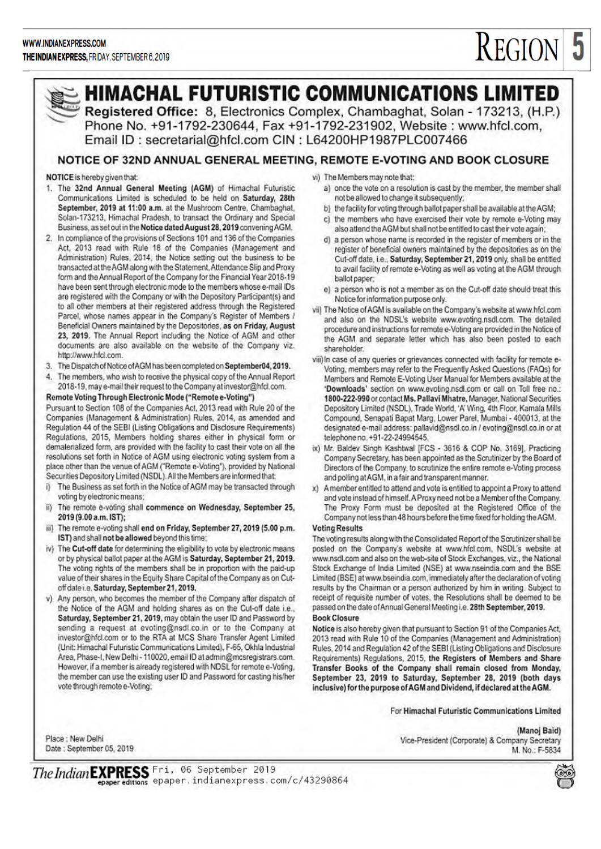# **REGION 5**



# **HIMACHAL FUTURISTIC COMMUNICATIONS LIMITED**

Registered Office: 8, Electronics Complex, Chambaghat, Solan - 173213, (H.P.) Phone No. +91-1792-230644, Fax +91-1792-231902, Website: www.hfcl.com, Email ID: secretarial@hfcl.com CIN: L64200HP1987PLC007466

## NOTICE OF 32ND ANNUAL GENERAL MEETING, REMOTE E-VOTING AND BOOK CLOSURE

#### NOTICE is hereby given that:

- 1. The 32nd Annual General Meeting (AGM) of Himachal Futuristic Communications Limited is scheduled to be held on Saturday, 28th September, 2019 at 11:00 a.m. at the Mushroom Centre. Chambachat. Solan-173213, Himachal Pradesh, to transact the Ordinary and Special Business, as set out in the Notice dated August 28, 2019 convening AGM.
- 2. In compliance of the provisions of Sections 101 and 136 of the Companies Act, 2013 read with Rule 18 of the Companies (Management and Administration) Rules, 2014, the Notice setting out the business to be transacted at the AGM along with the Statement, Attendance Slip and Proxy form and the Annual Report of the Company for the Financial Year 2018-19 have been sent through electronic mode to the members whose e-mail IDs are registered with the Company or with the Depository Participant(s) and to all other members at their registered address through the Registered Parcel, whose names appear in the Company's Register of Members / Beneficial Owners maintained by the Depositories, as on Friday, August 23, 2019. The Annual Report including the Notice of AGM and other documents are also available on the website of the Company viz. http://www.hfcl.com.
- 3. The Dispatch of Notice of AGM has been completed on September04, 2019.
- 4. The members, who wish to receive the physical copy of the Annual Report 2018-19, may e-mail their request to the Company at investor@hfcl.com.

### Remote Voting Through Electronic Mode ("Remote e-Voting")

Pursuant to Section 108 of the Companies Act, 2013 read with Rule 20 of the Companies (Management & Administration) Rules, 2014, as amended and Regulation 44 of the SEBI (Listing Obligations and Disclosure Requirements) Regulations, 2015, Members holding shares either in physical form or dematerialized form, are provided with the facility to cast their vote on all the resolutions set forth in Notice of AGM using electronic voting system from a place other than the venue of AGM ("Remote e-Voting"), provided by National Securities Depository Limited (NSDL). All the Members are informed that:

- The Business as set forth in the Notice of AGM may be transacted through i) voting by electronic means;
- The remote e-voting shall commence on Wednesday, September 25, ii) 2019 (9.00 a.m. IST);
- iii) The remote e-voting shall end on Friday, September 27, 2019 (5.00 p.m. IST) and shall not be allowed beyond this time:
- iv) The Cut-off date for determining the eligibility to vote by electronic means or by physical ballot paper at the AGM is Saturday, September 21, 2019. The voting rights of the members shall be in proportion with the paid-up value of their shares in the Equity Share Capital of the Company as on Cutoff date i.e. Saturday, September 21, 2019.
- v) Any person, who becomes the member of the Company after dispatch of the Notice of the AGM and holding shares as on the Cut-off date i.e., Saturday, September 21, 2019, may obtain the user ID and Password by sending a request at evoting@nsdi.co.in or to the Company at investor@hfcl.com or to the RTA at MCS Share Transfer Agent Limited (Unit: Himachal Futuristic Communications Limited), F-65, Okhla Industrial Area, Phase-I, New Delhi - 110020, email ID at admin@mcsregistrars.com. However, if a member is already registered with NDSL for remote e-Voting, the member can use the existing user ID and Password for casting his/her vote through remote e-Voting;

vi) The Members may note that:

- a) once the vote on a resolution is cast by the member, the member shall not be allowed to change it subsequently;
- b) the facility for voting through ballot paper shall be available at the AGM;
- c) the members who have exercised their vote by remote e-Voting may also attend the AGM but shall not be entitled to cast their vote again;
- d) a person whose name is recorded in the register of members or in the register of beneficial owners maintained by the depositories as on the Cut-off date, i.e., Saturday, September 21, 2019 only, shall be entitled to avail facility of remote e-Voting as well as voting at the AGM through ballot paper:
- e) a person who is not a member as on the Cut-off date should treat this Notice for information purpose only.
- vii) The Notice of AGM is available on the Company's website at www.hfcl.com and also on the NDSL's website www.evoting.nsdl.com. The detailed procedure and instructions for remote e-Voting are provided in the Notice of the AGM and separate letter which has also been posted to each shareholder.
- viii) In case of any queries or grievances connected with facility for remote e-Voting, members may refer to the Frequently Asked Questions (FAQs) for Members and Remote E-Voting User Manual for Members available at the 'Downloads' section on www.evoting.nsdl.com or call on Toll free no.: 1800-222-990 or contact Ms. Pallavi Mhatre, Manager, National Securities Depository Limited (NSDL), Trade World, 'A' Wing, 4th Floor, Kamala Mills Compound, Senapati Bapat Marg, Lower Parel, Mumbai - 400013, at the designated e-mail address: pallavid@nsdl.co.in / evoting@nsdl.co.in or at telephone no. +91-22-24994545.
- ix) Mr. Baldev Singh Kashtwal [FCS 3616 & COP No. 3169], Practicing Company Secretary, has been appointed as the Scrutinizer by the Board of Directors of the Company, to scrutinize the entire remote e-Voting process and polling at AGM, in a fair and transparent manner.
- x) A member entitled to attend and vote is entitled to appoint a Proxy to attend and vote instead of himself. A Proxy need not be a Member of the Company. The Proxy Form must be deposited at the Registered Office of the Company not less than 48 hours before the time fixed for holding the AGM.

#### **Voting Results**

The voting results along with the Consolidated Report of the Scrutinizer shall be posted on the Company's website at www.hfcl.com, NSDL's website at www.nsdl.com and also on the web-site of Stock Exchanges, viz., the National Stock Exchange of India Limited (NSE) at www.nseindia.com and the BSE Limited (BSE) at www.bseindia.com, immediately after the declaration of voting results by the Chairman or a person authorized by him in writing. Subject to receipt of requisite number of votes, the Resolutions shall be deemed to be passed on the date of Annual General Meeting i.e. 28th September, 2019.

#### **Book Closure**

Notice is also hereby given that pursuant to Section 91 of the Companies Act, 2013 read with Rule 10 of the Companies (Management and Administration) Rules, 2014 and Regulation 42 of the SEBI (Listing Obligations and Disclosure Requirements) Regulations, 2015, the Registers of Members and Share Transfer Books of the Company shall remain closed from Monday, September 23, 2019 to Saturday, September 28, 2019 (both days inclusive) for the purpose of AGM and Dividend, if declared at the AGM.

For Himachal Futuristic Communications Limited

Place : New Delhi Date: September 05, 2019

(Manoj Baid) Vice-President (Corporate) & Company Secretary M. No.: F-5834